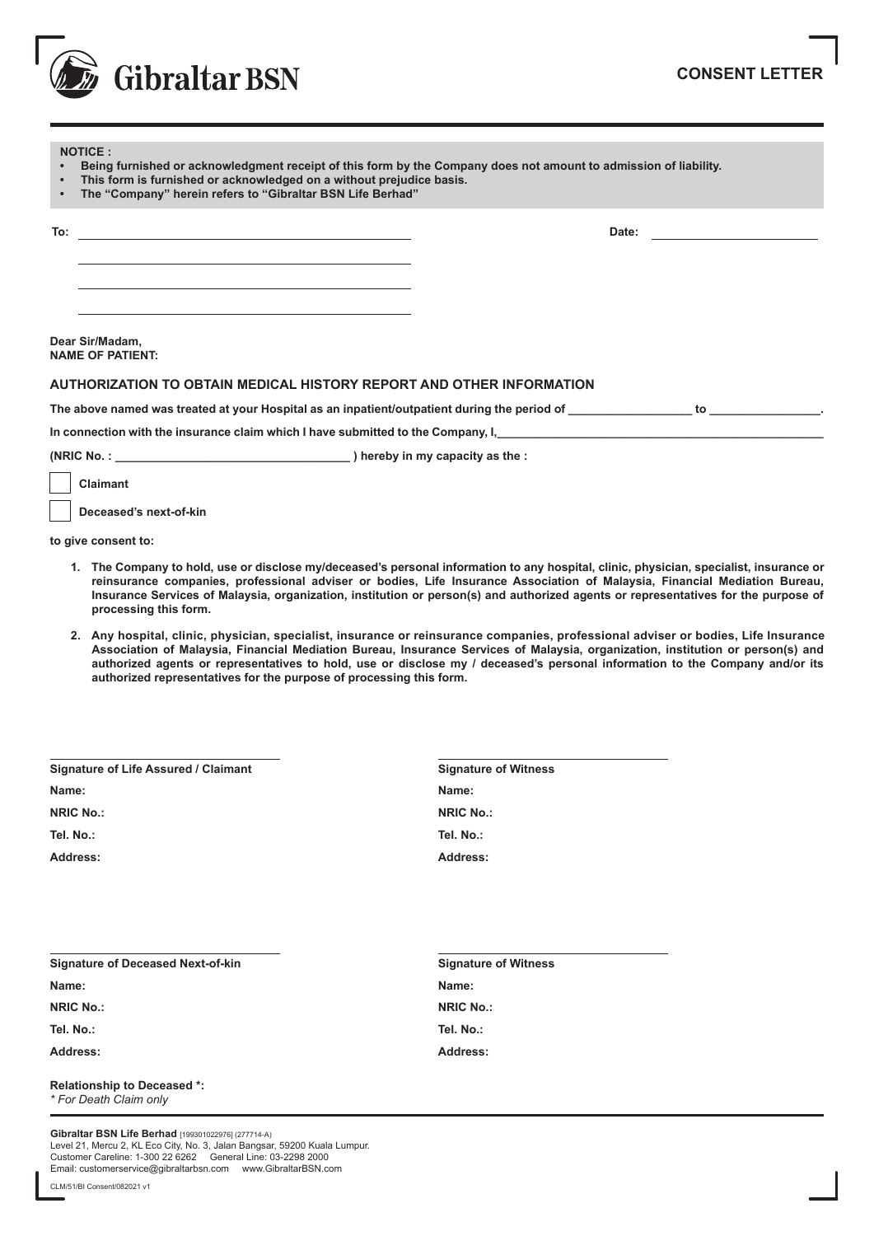

| <b>NOTICE:</b><br>Being furnished or acknowledgment receipt of this form by the Company does not amount to admission of liability.<br>$\bullet$<br>This form is furnished or acknowledged on a without prejudice basis.<br>$\bullet$<br>The "Company" herein refers to "Gibraltar BSN Life Berhad"<br>$\bullet$ |       |    |
|-----------------------------------------------------------------------------------------------------------------------------------------------------------------------------------------------------------------------------------------------------------------------------------------------------------------|-------|----|
| To:<br><u> 1989 - Andrea Andrew Maria (h. 1989).</u>                                                                                                                                                                                                                                                            | Date: |    |
|                                                                                                                                                                                                                                                                                                                 |       |    |
| Dear Sir/Madam,<br><b>NAME OF PATIENT:</b>                                                                                                                                                                                                                                                                      |       |    |
| AUTHORIZATION TO OBTAIN MEDICAL HISTORY REPORT AND OTHER INFORMATION                                                                                                                                                                                                                                            |       |    |
| The above named was treated at your Hospital as an inpatient/outpatient during the period of                                                                                                                                                                                                                    |       | to |

In connection with the insurance claim which I have submitted to the Company, I,

**(NRIC No. : \_\_\_\_\_\_\_\_\_\_\_\_\_\_\_\_\_\_\_\_\_\_\_\_\_\_\_\_\_\_\_\_\_\_\_\_ ) hereby in my capacity as the :**

 **Claimant**

 **Deceased's next-of-kin**

**to give consent to:**

- **1. The Company to hold, use or disclose my/deceased's personal information to any hospital, clinic, physician, specialist, insurance or reinsurance companies, professional adviser or bodies, Life Insurance Association of Malaysia, Financial Mediation Bureau, Insurance Services of Malaysia, organization, institution or person(s) and authorized agents or representatives for the purpose of processing this form.**
- **2. Any hospital, clinic, physician, specialist, insurance or reinsurance companies, professional adviser or bodies, Life Insurance Association of Malaysia, Financial Mediation Bureau, Insurance Services of Malaysia, organization, institution or person(s) and authorized agents or representatives to hold, use or disclose my / deceased's personal information to the Company and/or its authorized representatives for the purpose of processing this form.**

| <b>Signature of Life Assured / Claimant</b> | <b>Signature of Witness</b> |
|---------------------------------------------|-----------------------------|
| Name:                                       | Name:                       |
| <b>NRIC No.:</b>                            | <b>NRIC No.:</b>            |
| Tel. No.:                                   | Tel. No.:                   |
| Address:                                    | Address:                    |

| <b>Signature of Deceased Next-of-kin</b> | <b>Signature of Witness</b> |
|------------------------------------------|-----------------------------|
| Name:                                    | Name:                       |
| <b>NRIC No.:</b>                         | <b>NRIC No.:</b>            |
| Tel. No.:                                | Tel. No.:                   |
| Address:                                 | Address:                    |
| <b>Relationship to Decessed *:</b>       |                             |

**Relationship to Deceased \*:** *\* For Death Claim only*

**Gibraltar BSN Life Berhad** [199301022976] (277714-A) Level 21, Mercu 2, KL Eco City, No. 3, Jalan Bangsar, 59200 Kuala Lumpur. Customer Careline: 1-300 22 6262 General Line: 03-2298 2000 Email: customerservice@gibraltarbsn.com www.GibraltarBSN.com